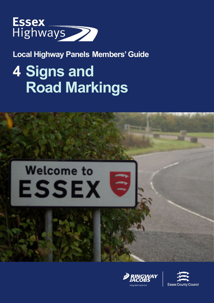

**Local Highway Panels Members' Guide**

# **4 Signs and Road Markings**





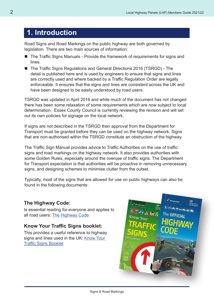## **1. Introduction**

Road Signs and Road Markings on the public highway are both governed by legislation. There are two main sources of information:

- The Traffic Signs Manuals Provide the framework of requirements for signs and lines.
- The Traffic Signs Regulations and General Directions 2016 (TSRGD) The detail is published here and is used by engineers to ensure that signs and lines are correctly used and where backed by a Traffic Regulation Order are legally enforceable. It ensures that the signs and lines are consistent across the UK and have been designed to be easily understood by road users.

TSRGD was updated in April 2016 and while much of the document has not changed there has been some relaxation of some requirements which are now subject to local determination. Essex County Council is currently reviewing the revision and will set out its own policies for signage on the local network.

If signs are not described in the TSRGD then approval from the Department for Transport must be granted before they can be used on the highway network. Signs that are non-authorised within the TSRGD constitute an obstruction of the highway.

The Traffic Sign Manual provides advice to Traffic Authorities on the use of traffic signs and road markings on the highway network. It also provides authorities with some Golden Rules, especially around the overuse of traffic signs. The Department for Transport expectation is that authorities will be proactive in removing unnecessary signs, and designing schemes to minimise clutter from the outset.

Typically, most of the signs that are allowed for use on public highways can also be found in the following documents:

#### **The Highway Code:**

Is essential reading for everyone and applies to all road users: [The Highway Code](https://www.gov.uk/guidance/the-highway-code)

#### **Know Your Traffic Signs booklet:**

This provides a useful reference to highway signs and lines used in the UK: [Know Your](https://www.gov.uk/government/uploads/system/uploads/attachment_data/file/519129/know-your-traffic-signs.pdf)  [Traffic Signs Booklet](https://www.gov.uk/government/uploads/system/uploads/attachment_data/file/519129/know-your-traffic-signs.pdf)

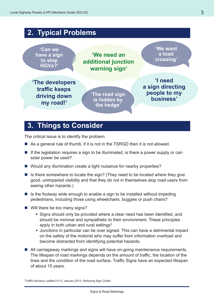## **2. Typical Problems**



## **3. Things to Consider**

The critical issue is to identify the problem.

- As a general rule of thumb, if it is not in the TSRGD then it is not allowed.
- $\blacksquare$  If the legislation requires a sign to be illuminated, is there a power supply or can solar power be used?
- Would any illumination create a light nuisance for nearby properties?
- $\blacksquare$  Is there somewhere to locate the sign? (They need to be located where they give good, unimpaired visibility and that they do not in themselves stop road users from seeing other hazards.)
- $\blacksquare$  Is the footway wide enough to enable a sign to be installed without impeding pedestrians, including those using wheelchairs, buggies or push chairs?
- Will there be too many signs?
	- Signs should only be provided where a clear need has been identified, and should be minimal and sympathetic to their environment. These principles apply in both urban and rural settings**<sup>1</sup>**
	- Junctions in particular can be over signed. This can have a detrimental impact on the safety of the motorist who may suffer from information overload and become distracted from identifying potential hazards.
- All carriageway markings and signs will have on-going maintenance requirements. The lifespan of road markings depends on the amount of traffic, the location of the lines and the condition of the road surface. Traffic Signs have an expected lifespan of about 15 years.

**1** Traffic Advisory Leaflet 01/13, January 2013, Reducing Sign Clutter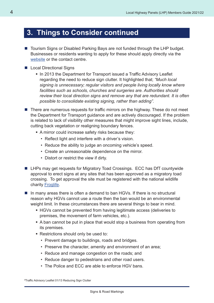## **3. Things to Consider continued**

- Tourism Signs or Disabled Parking Bays are not funded through the LHP budget. Businesses or residents wanting to apply for these should apply directly via the [website](http://www.visitessex.com/industry/brown-signs.aspx) or the contact centre.
- Local Directional Signs
	- In 2013 the Department for Transport issued a Traffic Advisory Leaflet regarding the need to reduce sign clutter. It highlighted that; *"Much local signing is unnecessary; regular visitors and people living locally know where facilities such as schools, churches and surgeries are. Authorities should review their local direction signs and remove any that are redundant. It is often possible to consolidate existing signing, rather than adding".*
- $\blacksquare$  There are numerous requests for traffic mirrors on the highway. These do not meet the Department for Transport guidance and are actively discouraged. If the problem is related to lack of visibility other measures that might improve sight lines, include, cutting back vegetation or realigning boundary fences.
	- A mirror could increase safety risks because they:
		- Reflect light and interfere with a driver's vision.
		- Reduce the ability to judge an oncoming vehicle's speed.
		- Create an unreasonable dependence on the mirror.
		- Distort or restrict the view if dirty.
- LHPs may get requests for Migratory Toad Crossings. ECC has DfT countywide approval to erect signs at any sites that has been approved as a migratory toad crossing. To get approval the site must be registered with the national wildlife charity [Froglife.](http://www.froglife.org/contact-us/)
- $\blacksquare$  In many areas there is often a demand to ban HGVs. If there is no structural reason why HGVs cannot use a route then the ban would be an environmental weight limit. In these circumstances there are several things to bear in mind.
	- HGVs cannot be prevented from having legitimate access (deliveries to premises, the movement of farm vehicles, etc.).
	- A ban cannot be put in place that would stop a business from operating from its premises.
	- Restrictions should only be used to:
		- Prevent damage to buildings, roads and bridges.
		- Preserve the character, amenity and environment of an area;
		- Reduce and manage congestion on the roads; and
		- Reduce danger to pedestrians and other road users.
		- The Police and ECC are able to enforce HGV bans.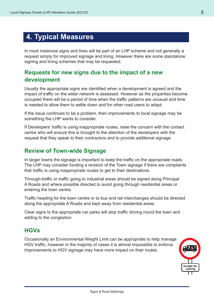## **4. Typical Measures**

In most instances signs and lines will be part of an LHP scheme and not generally a request simply for improved signage and lining. However there are some standalone signing and lining schemes that may be requested.

#### **Requests for new signs due to the impact of a new development**

Usually the appropriate signs are identified when a development is agreed and the impact of traffic on the wider network is assessed. However as the properties become occupied there will be a period of time when the traffic patterns are unusual and time is needed to allow them to settle down and for other road users to adapt.

If the issue continues to be a problem, then improvements to local signage may be something the LHP wants to consider.

If Developers' traffic is using inappropriate routes, raise the concern with the contact centre who will ensure this is brought to the attention of the developers with the request that they speak to their contractors and to provide additional signage.

#### **Review of Town-wide Signage**

In larger towns the signage is important to keep the traffic on the appropriate roads. The LHP may consider funding a revision of the Town signage if there are complaints that traffic is using inappropriate routes to get to their destinations.

Through-traffic or traffic going to industrial areas should be signed along Principal A Roads and where possible directed to avoid going through residential areas or entering the town centre.

Traffic heading for the town centre or to bus and rail interchanges should be directed along the appropriate A Roads and kept away from residential areas.

Clear signs to the appropriate car parks will stop traffic driving round the town and adding to the congestion.

#### **HGVs**

Occasionally an Environmental Weight Limit can be appropriate to help manage HGV traffic, however in the majority of cases it is almost impossible to enforce. Improvements to HGV signage may have more impact on their routes.

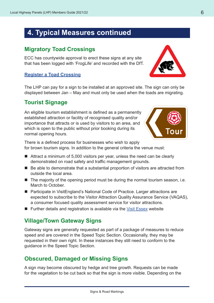## **4. Typical Measures continued**

#### **Migratory Toad Crossings**

ECC has countywide approval to erect these signs at any site that has been logged with 'FrogLife' and recorded with the DfT.

#### **[Register a Toad Crossing](http://www.froglife.org/what-we-do/toads...roads/register-a-toad-crossing/)**

The LHP can pay for a sign to be installed at an approved site. The sign can only be displayed between Jan – May and must only be used when the toads are migrating.

## **Tourist Signage**

An eligible tourism establishment is defined as a permanently established attraction or facility of recognised quality and/or importance that attracts or is used by visitors to an area, and which is open to the public without prior booking during its normal opening hours.

There is a defined process for businesses who wish to apply for brown tourism signs. In addition to the general criteria the venue must:

- Attract a minimum of 5,000 visitors per year, unless the need can be clearly demonstrated on road safety and traffic management grounds.
- Be able to demonstrate that a substantial proportion of visitors are attracted from outside the local area.
- $\blacksquare$  The majority of the opening period must be during the normal tourism season, i.e. March to October.
- Participate in VisitEngland's National Code of Practice. Larger attractions are expected to subscribe to the Visitor Attraction Quality Assurance Service (VAQAS), a consumer focused quality assessment service for visitor attractions.
- **Further details and registration is available via the [Visit Essex](http://www.visitessex.com/industry/brown-signs.aspx) website**

## **Village/Town Gateway Signs**

Gateway signs are generally requested as part of a package of measures to reduce speed and are covered in the Speed Topic Section. Occasionally, they may be requested in their own right. In these instances they still need to conform to the guidance in the Speed Topic Section.

## **Obscured, Damaged or Missing Signs**

A sign may become obscured by hedge and tree growth. Requests can be made for the vegetation to be cut back so that the sign is more visible. Depending on the



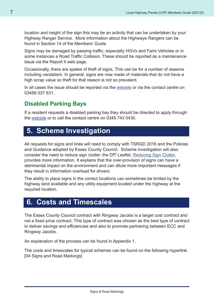location and height of the sign this may be an activity that can be undertaken by your Highway Ranger Service. More information about the Highways Rangers can be found in Section 14 of the Members' Guide

Signs may be damaged by passing traffic, especially HGVs and Farm Vehicles or in some instances a Road Traffic Collision. These should be reported as a maintenance issue via the Report It web page.

Occasionally, there are spates of theft of signs. This can be for a number of reasons including vandalism. In general, signs are now made of materials that do not have a high scrap value so theft for that reason is not so prevalent.

In all cases the issue should be reported via the [website](http://www.essexhighways.org/Report-a-problem.aspx) or via the contact centre on 03456 037 631.

#### **Disabled Parking Bays**

If a resident requests a disabled parking bay they should be directed to apply through the [website](http://www.essex.gov.uk/Health-Social-Care/Health-and-social-care-for-adults/Blue-Badges/Pages/Disabled-parking-bay.aspx) or to call the contact centre on 0345 743 0430.

## **5. Scheme Investigation**

All requests for signs and lines will need to comply with TSRGD 2016 and the Policies and Guidance adopted by Essex County Council. Scheme investigation will also consider the need to reduce sign clutter; the DfT Leaflet, [Reducing Sign Clutter](https://assets.publishing.service.gov.uk/government/uploads/system/uploads/attachment_data/file/43525/tal-reducing-sign-clutter.pdf), provides more information. It explains that the over-provision of signs can have a detrimental impact on the environment and can dilute more important messages if they result in information overload for drivers.

The ability to place signs in the correct locations can sometimes be limited by the highway land available and any utility equipment located under the highway at the required location.

## **6. Costs and Timescales**

The Essex County Council contract with Ringway Jacobs is a target cost contract and not a fixed price contract. This type of contract was chosen as the best type of contract to deliver savings and efficiencies and also to promote partnering between ECC and Ringway Jacobs.

An explanation of the process can be found in Appendix 1.

The costs and timescales for typical schemes can be found on the following hyperlink. [04 Signs and Road Markings]